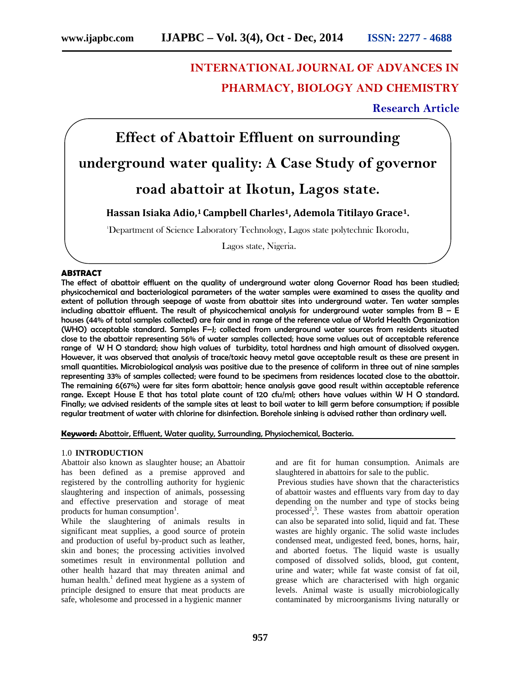# **INTERNATIONAL JOURNAL OF ADVANCES IN PHARMACY, BIOLOGY AND CHEMISTRY**

# **Research Article**

# **Effect of Abattoir Effluent on surrounding underground water quality: A Case Study of governor road abattoir at Ikotun, Lagos state.**

# **Hassan Isiaka Adio,<sup>1</sup> Campbell Charles1, Ademola Titilayo Grace1.**

<sup>1</sup>Department of Science Laboratory Technology, Lagos state polytechnic Ikorodu,

Lagos state, Nigeria.

## **ABSTRACT**

The effect of abattoir effluent on the quality of underground water along Governor Road has been studied; physicochemical and bacteriological parameters of the water samples were examined to assess the quality and extent of pollution through seepage of waste from abattoir sites into underground water. Ten water samples including abattoir effluent. The result of physicochemical analysis for underground water samples from  $B - E$ houses (44% of total samples collected) are fair and in range of the reference value of World Health Organization (WHO) acceptable standard. Samples F–J; collected from underground water sources from residents situated close to the abattoir representing 56% of water samples collected; have some values out of acceptable reference range of W H O standard; show high values of turbidity, total hardness and high amount of dissolved oxygen. However, it was observed that analysis of trace/toxic heavy metal gave acceptable result as these are present in small quantities. Microbiological analysis was positive due to the presence of coliform in three out of nine samples representing 33% of samples collected; were found to be specimens from residences located close to the abattoir. The remaining 6(67%) were far sites form abattoir; hence analysis gave good result within acceptable reference range. Except House E that has total plate count of 120 cfu/ml; others have values within W H O standard. Finally; we advised residents of the sample sites at least to boil water to kill germ before consumption; if possible regular treatment of water with chlorine for disinfection. Borehole sinking is advised rather than ordinary well.

#### **Keyword:** Abattoir, Effluent, Water quality, Surrounding, Physiochemical, Bacteria.

#### 1.0 **INTRODUCTION**

Abattoir also known as slaughter house; an Abattoir has been defined as a premise approved and registered by the controlling authority for hygienic slaughtering and inspection of animals, possessing and effective preservation and storage of meat products for human consumption<sup>1</sup>.

While the slaughtering of animals results in significant meat supplies, a good source of protein and production of useful by-product such as leather, skin and bones; the processing activities involved sometimes result in environmental pollution and other health hazard that may threaten animal and human health.<sup>1</sup> defined meat hygiene as a system of principle designed to ensure that meat products are safe, wholesome and processed in a hygienic manner

and are fit for human consumption. Animals are slaughtered in abattoirs for sale to the public.

Previous studies have shown that the characteristics of abattoir wastes and effluents vary from day to day depending on the number and type of stocks being processed<sup>2</sup>,<sup>3</sup>. These wastes from abattoir operation can also be separated into solid, liquid and fat. These wastes are highly organic. The solid waste includes condensed meat, undigested feed, bones, horns, hair, and aborted foetus. The liquid waste is usually composed of dissolved solids, blood, gut content, urine and water; while fat waste consist of fat oil, grease which are characterised with high organic levels. Animal waste is usually microbiologically contaminated by microorganisms living naturally or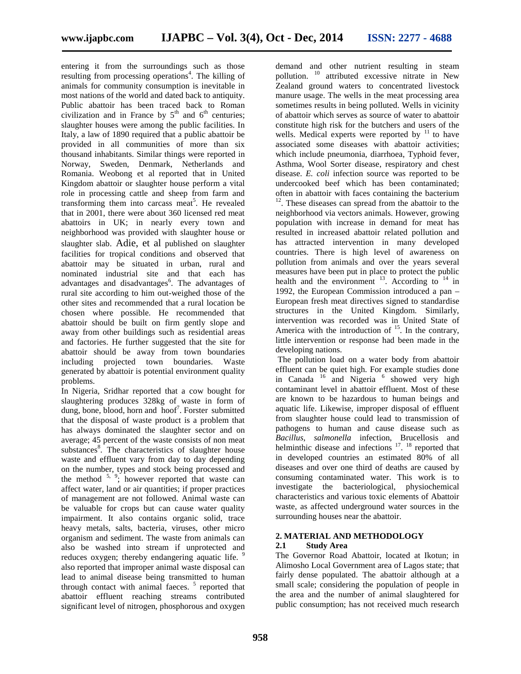entering it from the surroundings such as those resulting from processing operations<sup>4</sup>. The killing of animals for community consumption is inevitable in most nations of the world and dated back to antiquity. Public abattoir has been traced back to Roman civilization and in France by  $5<sup>th</sup>$  and  $6<sup>th</sup>$  centuries; slaughter houses were among the public facilities. In Italy, a law of 1890 required that a public abattoir be provided in all communities of more than six thousand inhabitants. Similar things were reported in Norway, Sweden, Denmark, Netherlands and Romania. Weobong et al reported that in United Kingdom abattoir or slaughter house perform a vital role in processing cattle and sheep from farm and transforming them into carcass meat<sup>5</sup>. He revealed that in 2001, there were about 360 licensed red meat abattoirs in UK; in nearly every town and neighborhood was provided with slaughter house or slaughter slab. Adie, et al published on slaughter facilities for tropical conditions and observed that abattoir may be situated in urban, rural and nominated industrial site and that each has advantages and disadvantages<sup>6</sup>. The advantages of rural site according to him out-weighed those of the other sites and recommended that a rural location be chosen where possible. He recommended that abattoir should be built on firm gently slope and away from other buildings such as residential areas and factories. He further suggested that the site for abattoir should be away from town boundaries including projected town boundaries. Waste generated by abattoir is potential environment quality problems.

In Nigeria, Sridhar reported that a cow bought for slaughtering produces 328kg of waste in form of dung, bone, blood, horn and  $h$ oof<sup>7</sup>. Forster submitted that the disposal of waste product is a problem that has always dominated the slaughter sector and on average; 45 percent of the waste consists of non meat substances $\delta$ . The characteristics of slaughter house waste and effluent vary from day to day depending on the number, types and stock being processed and the method  $5, 9$ ; however reported that waste can affect water, land or air quantities; if proper practices of management are not followed. Animal waste can be valuable for crops but can cause water quality impairment. It also contains organic solid, trace heavy metals, salts, bacteria, viruses, other micro organism and sediment. The waste from animals can<br>also be washed into stream if unprotected and  $2.1$ also be washed into stream if unprotected and reduces oxygen; thereby endangering aquatic life. 9 also reported that improper animal waste disposal can lead to animal disease being transmitted to human through contact with animal faeces.  $5$  reported that abattoir effluent reaching streams contributed significant level of nitrogen, phosphorous and oxygen

demand and other nutrient resulting in steam pollution. <sup>10</sup> attributed excessive nitrate in New Zealand ground waters to concentrated livestock manure usage. The wells in the meat processing area sometimes results in being polluted. Wells in vicinity of abattoir which serves as source of water to abattoir constitute high risk for the butchers and users of the wells. Medical experts were reported by  $11$  to have associated some diseases with abattoir activities; which include pneumonia, diarrhoea, Typhoid fever, Asthma, Wool Sorter disease, respiratory and chest disease. *E. coli* infection source was reported to be undercooked beef which has been contaminated; often in abattoir with faces containing the bacterium <sup>12</sup>. These diseases can spread from the abattoir to the neighborhood via vectors animals. However, growing population with increase in demand for meat has resulted in increased abattoir related pollution and has attracted intervention in many developed countries. There is high level of awareness on pollution from animals and over the years several measures have been put in place to protect the public health and the environment  $^{13}$ . According to  $^{14}$  in 1992, the European Commission introduced a pan – European fresh meat directives signed to standardise structures in the United Kingdom. Similarly, intervention was recorded was in United State of America with the introduction of  $15$ . In the contrary, little intervention or response had been made in the developing nations.

The pollution load on a water body from abattoir effluent can be quiet high. For example studies done in Canada  $16$  and Nigeria  $6$  showed very high contaminant level in abattoir effluent. Most of these are known to be hazardous to human beings and aquatic life. Likewise, improper disposal of effluent from slaughter house could lead to transmission of pathogens to human and cause disease such as *Bacillus*, *salmonella* infection, Brucellosis and helminthic disease and infections <sup>17</sup>. <sup>18</sup> reported that in developed countries an estimated 80% of all diseases and over one third of deaths are caused by consuming contaminated water. This work is to investigate the bacteriological, physiochemical characteristics and various toxic elements of Abattoir waste, as affected underground water sources in the surrounding houses near the abattoir.

# **2. MATERIAL AND METHODOLOGY**

## **2.1 Study Area**

The Governor Road Abattoir, located at Ikotun; in Alimosho Local Government area of Lagos state; that fairly dense populated. The abattoir although at a small scale; considering the population of people in the area and the number of animal slaughtered for public consumption; has not received much research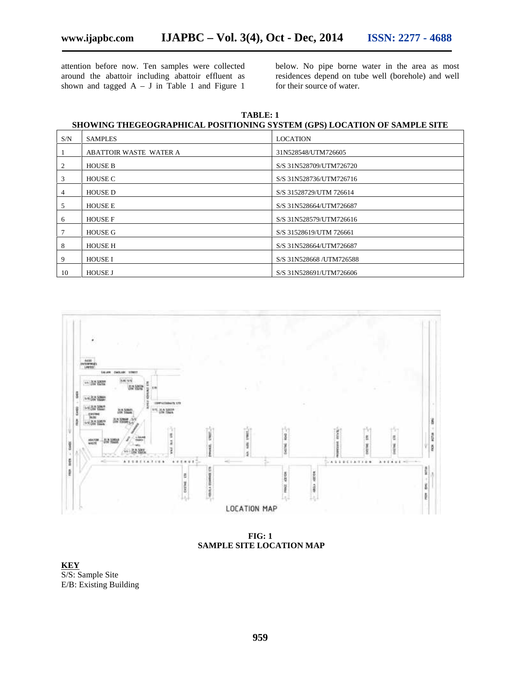attention before now. Ten samples were collected around the abattoir including abattoir effluent as shown and tagged  $A - J$  in Table 1 and Figure 1

below. No pipe borne water in the area as most residences depend on tube well (borehole) and well for their source of water.

**TABLE: 1 SHOWING THEGEOGRAPHICAL POSITIONING SYSTEM (GPS) LOCATION OF SAMPLE SITE**

| S/N | <b>SAMPLES</b>                | <b>LOCATION</b>           |
|-----|-------------------------------|---------------------------|
|     | <b>ABATTOIR WASTE WATER A</b> | 31N528548/UTM726605       |
| 2   | <b>HOUSE B</b>                | S/S 31N528709/UTM726720   |
| 3   | <b>HOUSE C</b>                | S/S 31N528736/UTM726716   |
| 4   | <b>HOUSE D</b>                | S/S 31528729/UTM 726614   |
| 5   | <b>HOUSE E</b>                | S/S 31N528664/UTM726687   |
| 6   | <b>HOUSE F</b>                | S/S 31N528579/UTM726616   |
|     | <b>HOUSE G</b>                | S/S 31528619/UTM 726661   |
| 8   | <b>HOUSE H</b>                | S/S 31N528664/UTM726687   |
| 9   | <b>HOUSE I</b>                | S/S 31N528668 / UTM726588 |
| 10  | <b>HOUSE J</b>                | S/S 31N528691/UTM726606   |



**FIG: 1 SAMPLE SITE LOCATION MAP**

**KEY** S/S: Sample Site E/B: Existing Building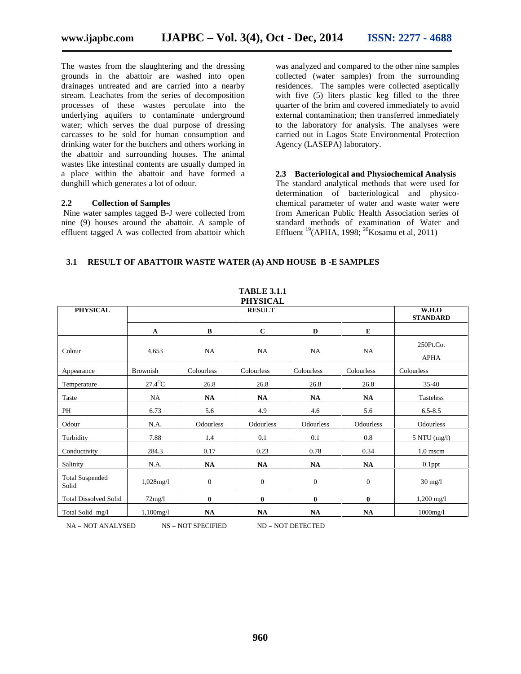The wastes from the slaughtering and the dressing grounds in the abattoir are washed into open drainages untreated and are carried into a nearby stream. Leachates from the series of decomposition processes of these wastes percolate into the underlying aquifers to contaminate underground water; which serves the dual purpose of dressing carcasses to be sold for human consumption and drinking water for the butchers and others working in the abattoir and surrounding houses. The animal wastes like intestinal contents are usually dumped in a place within the abattoir and have formed a dunghill which generates a lot of odour.

#### **2.2 Collection of Samples**

Nine water samples tagged B-J were collected from nine (9) houses around the abattoir. A sample of effluent tagged A was collected from abattoir which

was analyzed and compared to the other nine samples collected (water samples) from the surrounding residences. The samples were collected aseptically with five (5) liters plastic keg filled to the three quarter of the brim and covered immediately to avoid external contamination; then transferred immediately to the laboratory for analysis. The analyses were carried out in Lagos State Environmental Protection Agency (LASEPA) laboratory.

**2.3 Bacteriological and Physiochemical Analysis** The standard analytical methods that were used for determination of bacteriological and physico chemical parameter of water and waste water were from American Public Health Association series of standard methods of examination of Water and Effluent <sup>19</sup>(APHA, 1998; <sup>20</sup>Kosamu et al, 2011)

# **3.1 RESULT OF ABATTOIR WASTE WATER (A) AND HOUSE B -E SAMPLES**

|                                 |                          |                          | <b>TABLE 3.1.1</b><br><b>PHYSICAL</b> |                  |              |                          |
|---------------------------------|--------------------------|--------------------------|---------------------------------------|------------------|--------------|--------------------------|
| <b>PHYSICAL</b>                 |                          | W.H.O<br><b>STANDARD</b> |                                       |                  |              |                          |
|                                 | $\mathbf{A}$             | $\bf{B}$                 | $\mathbf C$                           | D                | E            |                          |
| Colour                          | 4,653                    | NA                       | NA                                    | NA               | NA           | 250Pt.Co.<br><b>APHA</b> |
| Appearance                      | Brownish                 | Colourless               | Colourless                            | Colourless       | Colourless   | Colourless               |
| Temperature                     | $27.4^{\circ}\textrm{C}$ | 26.8                     | 26.8                                  | 26.8             | 26.8         | $35-40$                  |
| Taste                           | NA                       | NA                       | NA                                    | NA               | NA           | Tasteless                |
| PH                              | 6.73                     | 5.6                      | 4.9                                   | 4.6              | 5.6          | $6.5 - 8.5$              |
| Odour                           | N.A.                     | Odourless                | <b>Odourless</b>                      | Odourless        | Odourless    | Odourless                |
| Turbidity                       | 7.88                     | 1.4                      | 0.1                                   | 0.1              | 0.8          | 5 NTU (mg/l)             |
| Conductivity                    | 284.3                    | 0.17                     | 0.23                                  | 0.78             | 0.34         | $1.0$ mscm               |
| Salinity                        | N.A.                     | NA                       | NA                                    | <b>NA</b>        | NA           | $0.1$ ppt                |
| <b>Total Suspended</b><br>Solid | $1,028$ mg/l             | $\mathbf{0}$             | $\overline{0}$                        | $\boldsymbol{0}$ | $\mathbf{0}$ | $30 \text{ mg}/1$        |
| <b>Total Dissolved Solid</b>    | 72mg/1                   | $\bf{0}$                 | $\bf{0}$                              | $\bf{0}$         | $\bf{0}$     | $1,200 \text{ mg}/1$     |
| Total Solid mg/l                | $1,100$ mg/l             | NA                       | NA                                    | NA               | NA           | $1000$ mg/l              |

NA = NOT ANALYSED NS = NOT SPECIFIED ND = NOT DETECTED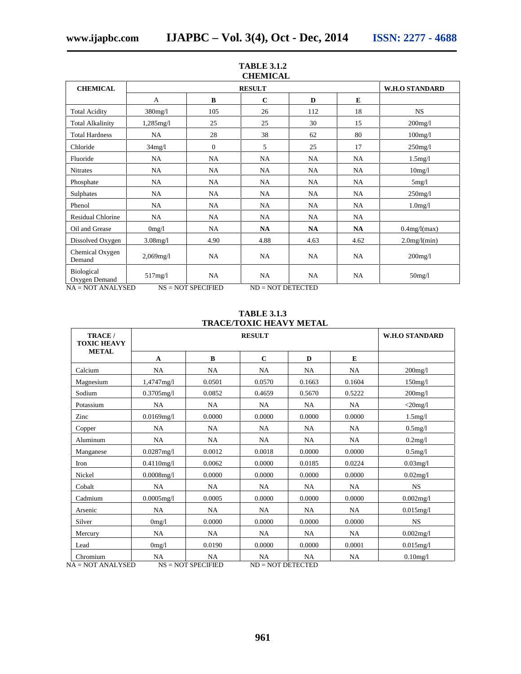|              | <b>W.H.O STANDARD</b> |             |               |                 |                 |
|--------------|-----------------------|-------------|---------------|-----------------|-----------------|
| A            | B                     | $\mathbf C$ | D             | E               |                 |
| $380$ mg/l   | 105                   | 26          | 112           | 18              | <b>NS</b>       |
| $1,285$ mg/l | 25                    | 25          | 30            | 15              | $200$ mg/l      |
| NA           | 28                    | 38          | 62            | 80              | $100$ mg/l      |
| 34mg/l       | $\mathbf{0}$          | 5           | 25            | 17              | $250$ mg/l      |
| NA           | NA                    | NA          | NA            | NA              | 1.5mg/l         |
| NA           | NA                    | NA          | NA            | NA              | 10mg/1          |
| NA           | NA                    | NA          | NA            | NA              | 5mg/l           |
| NA           | NA                    | NA          | NA            | NA              | $250$ mg/l      |
| NA           | NA                    | NA          | NA            | NA              | $1.0$ mg/l      |
| NA           | NA                    | NA          | NA            | NA              |                 |
| 0mg/l        | NA                    | NA          | NA            | NA              | $0.4$ mg/l(max) |
| $3.08$ mg/l  | 4.90                  | 4.88        | 4.63          | 4.62            | $2.0$ mg/l(min) |
| $2,069$ mg/l | NA                    | NA          | NA            | NA              | $200$ mg/l      |
| 517mg/l      | NA                    | NA          | NA            | <b>NA</b>       | $50$ mg/l       |
|              |                       |             | <b>RESULT</b> | <b>CHEMICAL</b> |                 |

# **TABLE 3.1.2**

# **TABLE 3.1.3 TRACE/TOXIC HEAVY METAL**

| TRACE /<br><b>TOXIC HEAVY</b> |               | <b>W.H.O STANDARD</b> |             |           |           |               |
|-------------------------------|---------------|-----------------------|-------------|-----------|-----------|---------------|
| <b>METAL</b>                  | $\mathbf{A}$  | $\bf{B}$              | $\mathbf C$ | D         | E         |               |
| Calcium                       | NA            | NA                    | <b>NA</b>   | <b>NA</b> | <b>NA</b> | $200$ mg/l    |
| Magnesium                     | 1,4747mg/l    | 0.0501                | 0.0570      | 0.1663    | 0.1604    | $150$ mg/ $1$ |
| Sodium                        | $0.3705$ mg/l | 0.0852                | 0.4659      | 0.5670    | 0.5222    | $200$ mg/l    |
| Potassium                     | NA            | NA                    | NA          | NA        | NA        | $<$ 20mg/l    |
| Zinc                          | $0.0169$ mg/l | 0.0000                | 0.0000      | 0.0000    | 0.0000    | 1.5mg/l       |
| Copper                        | NA            | NA                    | <b>NA</b>   | NA        | NA        | $0.5$ mg/l    |
| Aluminum                      | <b>NA</b>     | NA                    | <b>NA</b>   | <b>NA</b> | NA        | 0.2mg/l       |
| Manganese                     | 0.0287mg/1    | 0.0012                | 0.0018      | 0.0000    | 0.0000    | $0.5$ mg/l    |
| Iron                          | 0.4110mg/l    | 0.0062                | 0.0000      | 0.0185    | 0.0224    | $0.03$ mg/l   |
| Nickel                        | $0.0008$ mg/l | 0.0000                | 0.0000      | 0.0000    | 0.0000    | $0.02$ mg/l   |
| Cobalt                        | NA            | <b>NA</b>             | <b>NA</b>   | NA        | NA        | <b>NS</b>     |
| Cadmium                       | $0.0005$ mg/l | 0.0005                | 0.0000      | 0.0000    | 0.0000    | 0.002mg/l     |
| Arsenic                       | <b>NA</b>     | <b>NA</b>             | <b>NA</b>   | <b>NA</b> | <b>NA</b> | $0.015$ mg/l  |
| Silver                        | 0mg/1         | 0.0000                | 0.0000      | 0.0000    | 0.0000    | NS.           |
| Mercury                       | NA            | NA                    | <b>NA</b>   | NA        | NA        | 0.002mg/1     |
| Lead                          | 0mg/l         | 0.0190                | 0.0000      | 0.0000    | 0.0001    | $0.015$ mg/l  |
| Chromium                      | NA            | <b>NA</b>             | NA          | NA        | NA        | $0.10$ mg/l   |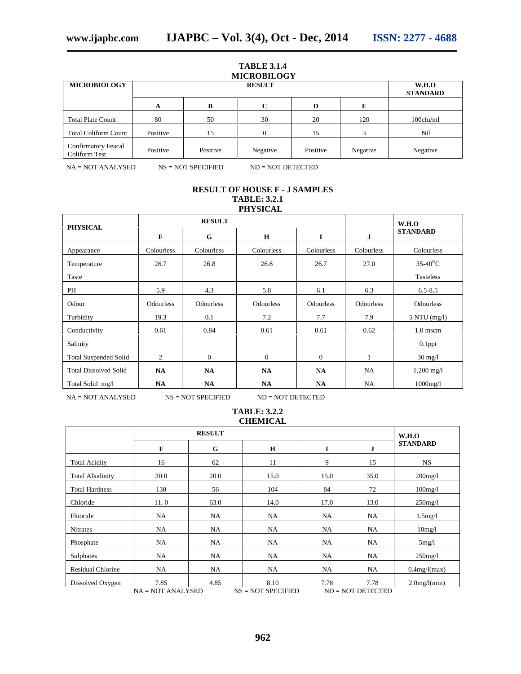#### **TABLE 3.1.4 MICROBILOGY**

| <b>MICROBIOLOGY</b>                                |          | W.H.O<br><b>STANDARD</b> |          |          |          |           |
|----------------------------------------------------|----------|--------------------------|----------|----------|----------|-----------|
|                                                    | A        | в                        | C        | D        | E        |           |
| <b>Total Plate Count</b>                           | 80       | 50                       | 30       | 20       | 120      | 100cfu/ml |
| <b>Total Coliform Count</b>                        | Positive | 15                       | 0        | 15       |          | Nil       |
| <b>Confirmatory Feacal</b><br><b>Coliform Test</b> | Positive | Positive                 | Negative | Positive | Negative | Negative  |

NA = NOT ANALYSED NS = NOT SPECIFIED ND = NOT DETECTED

## **RESULT OF HOUSE F - J SAMPLES TABLE: 3.2.1 PHYSICAL**

| <b>PHYSICAL</b>              |                  | <b>RESULT</b>    |                  |                  |                  | W.H.O                  |  |
|------------------------------|------------------|------------------|------------------|------------------|------------------|------------------------|--|
|                              | F                | G                | $\mathbf H$      | Ī                | J                | <b>STANDARD</b>        |  |
| Appearance                   | Colourless       | Colourless       | Colourless       | Colourless       | Colourless       | Colourless             |  |
| Temperature                  | 26.7             | 26.8             | 26.8             | 26.7             | 27.0             | $35-40$ <sup>o</sup> C |  |
| Taste                        |                  |                  |                  |                  |                  | <b>Tasteless</b>       |  |
| PH                           | 5.9              | 4.3              | 5.8              | 6.1              | 6.3              | $6.5 - 8.5$            |  |
| Odour                        | <b>Odourless</b> | <b>Odourless</b> | <b>Odourless</b> | <b>Odourless</b> | <b>Odourless</b> | <b>Odourless</b>       |  |
| Turbidity                    | 19.3             | 0.1              | 7.2              | 7.7              | 7.9              | $5$ NTU (mg/l)         |  |
| Conductivity                 | 0.61             | 0.84             | 0.61             | 0.61             | 0.62             | $1.0$ mscm             |  |
| Salinity                     |                  |                  |                  |                  |                  | $0.1$ ppt              |  |
| <b>Total Suspended Solid</b> | 2                | $\mathbf{0}$     | $\mathbf{0}$     | $\overline{0}$   |                  | $30 \text{ mg}/1$      |  |
| <b>Total Dissolved Solid</b> | <b>NA</b>        | <b>NA</b>        | <b>NA</b>        | NA               | <b>NA</b>        | $1,200 \text{ mg}/1$   |  |
| Total Solid mg/l             | <b>NA</b>        | <b>NA</b>        | <b>NA</b>        | <b>NA</b>        | NA               | 1000mg/l               |  |

NA = NOT ANALYSED NS = NOT SPECIFIED ND = NOT DETECTED

# **TABLE: 3.2.2**

# **CHEMICAL**

|                          |      | <b>RESULT</b> |             | W.H.O |           |                 |
|--------------------------|------|---------------|-------------|-------|-----------|-----------------|
|                          | F    | G             | $\mathbf H$ | I     | ${\bf J}$ | <b>STANDARD</b> |
| <b>Total Acidity</b>     | 16   | 62            | 11          | 9     | 15        | <b>NS</b>       |
| <b>Total Alkalinity</b>  | 30.0 | 20.0          | 15.0        | 15.0  | 35.0      | $200$ mg/l      |
| <b>Total Hardness</b>    | 130  | 56            | 104         | 84    | 72        | $100$ mg/l      |
| Chloride                 | 11.0 | 63.0          | 14.0        | 17.0  | 13.0      | $250$ mg/l      |
| Fluoride                 | NA   | NA            | NA          | NA    | <b>NA</b> | $1.5$ mg/l      |
| <b>Nitrates</b>          | NA   | NA            | <b>NA</b>   | NA    | <b>NA</b> | 10mg/l          |
| Phosphate                | NA   | NA            | <b>NA</b>   | NA    | NA        | 5mg/l           |
| Sulphates                | NA   | NA            | NA          | NA    | <b>NA</b> | $250$ mg/l      |
| <b>Residual Chlorine</b> | NA   | NA            | NA          | NA    | <b>NA</b> | $0.4$ mg/l(max) |
| Dissolved Oxygen         | 7.85 | 4.85          | 8.10        | 7.78  | 7.78      | 2.0mg/(min)     |

 $NA = NOT ANALYSED$   $NS = NOT SPECIFIED$   $ND = NOT DECTECD$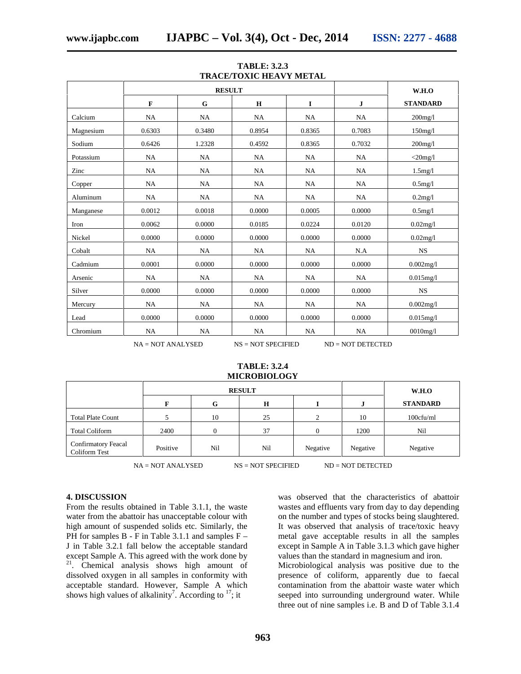|           |           | <b>RESULT</b> |             | W.H.O    |              |                 |  |
|-----------|-----------|---------------|-------------|----------|--------------|-----------------|--|
|           | F         | G             | $\mathbf H$ | $\bf{I}$ | $\mathbf{J}$ | <b>STANDARD</b> |  |
| Calcium   | NA        | <b>NA</b>     | NA          | NA       | NA           | $200$ mg/l      |  |
| Magnesium | 0.6303    | 0.3480        | 0.8954      | 0.8365   | 0.7083       | $150$ mg/l      |  |
| Sodium    | 0.6426    | 1.2328        | 0.4592      | 0.8365   | 0.7032       | $200$ mg/l      |  |
| Potassium | NA        | NA            | NA          | NA       | NA           | $<$ 20mg/l      |  |
| Zinc      | NA        | NA            | NA          | NA       | NA           | $1.5$ mg/l      |  |
| Copper    | NA        | NA            | NA          | NA       | NA           | $0.5$ mg/l      |  |
| Aluminum  | NA        | NA            | NA          | NA       | NA           | 0.2mg/l         |  |
| Manganese | 0.0012    | 0.0018        | 0.0000      | 0.0005   | 0.0000       | $0.5$ mg/l      |  |
| Iron      | 0.0062    | 0.0000        | 0.0185      | 0.0224   | 0.0120       | $0.02$ mg/l     |  |
| Nickel    | 0.0000    | 0.0000        | 0.0000      | 0.0000   | 0.0000       | $0.02$ mg/l     |  |
| Cobalt    | NA        | NA            | NA          | NA       | N.A          | <b>NS</b>       |  |
| Cadmium   | 0.0001    | 0.0000        | 0.0000      | 0.0000   | 0.0000       | $0.002$ mg/l    |  |
| Arsenic   | NA        | NA            | NA          | NA       | NA           | $0.015$ mg/l    |  |
| Silver    | 0.0000    | 0.0000        | 0.0000      | 0.0000   | 0.0000       | $_{\rm NS}$     |  |
| Mercury   | <b>NA</b> | NA            | NA          | NA       | NA           | 0.002mg/1       |  |
| Lead      | 0.0000    | 0.0000        | 0.0000      | 0.0000   | 0.0000       | $0.015$ mg/l    |  |
| Chromium  | NA        | NA            | NA          | NA       | NA           | $0010$ mg/l     |  |

**TABLE: 3.2.3 TRACE/TOXIC HEAVY METAL**

#### **TABLE: 3.2.4 MICROBIOLOGY**

|                                      |          | <b>RESULT</b> |             | W.H.O    |          |                 |
|--------------------------------------|----------|---------------|-------------|----------|----------|-----------------|
|                                      | F        | G             | $\mathbf H$ |          |          | <b>STANDARD</b> |
| <b>Total Plate Count</b>             |          | 10            | 25          | ◠        | 10       | 100cfu/ml       |
| <b>Total Coliform</b>                | 2400     |               | 37          |          | 1200     | Nil             |
| Confirmatory Feacal<br>Coliform Test | Positive | Nil           | Nil         | Negative | Negative | Negative        |

 $NA = NOT ANALYSED$   $NS = NOT SPECIFIED$   $ND = NOT DET DECTE$ 

#### **4. DISCUSSION**

From the results obtained in Table 3.1.1, the waste water from the abattoir has unacceptable colour with high amount of suspended solids etc. Similarly, the PH for samples  $B - F$  in Table 3.1.1 and samples  $F -$ J in Table 3.2.1 fall below the acceptable standard except Sample A. This agreed with the work done by <sup>21</sup>. Chemical analysis shows high amount of dissolved oxygen in all samples in conformity with acceptable standard. However, Sample A which shows high values of alkalinity<sup>7</sup>. According to  $17$ ; it was observed that the characteristics of abattoir wastes and effluents vary from day to day depending on the number and types of stocks being slaughtered. It was observed that analysis of trace/toxic heavy metal gave acceptable results in all the samples except in Sample A in Table 3.1.3 which gave higher values than the standard in magnesium and iron.

Microbiological analysis was positive due to the presence of coliform, apparently due to faecal contamination from the abattoir waste water which seeped into surrounding underground water. While three out of nine samples i.e. B and D of Table 3.1.4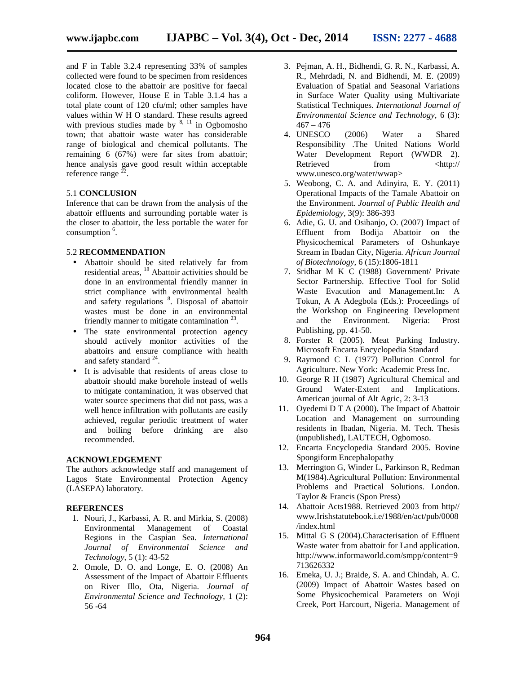and F in Table 3.2.4 representing 33% of samples collected were found to be specimen from residences located close to the abattoir are positive for faecal coliform. However, House E in Table 3.1.4 has a total plate count of 120 cfu/ml; other samples have values within W H O standard. These results agreed with previous studies made by  $8, 11$  in Ogbomosho town; that abattoir waste water has considerable range of biological and chemical pollutants. The remaining 6 (67%) were far sites from abattoir; hence analysis gave good result within acceptable reference range  $^{22}$ . .

## 5.1 **CONCLUSION**

Inference that can be drawn from the analysis of the abattoir effluents and surrounding portable water is the closer to abattoir, the less portable the water for consumption <sup>6</sup>.

#### 5.2 **RECOMMENDATION**

- Abattoir should be sited relatively far from residential areas, <sup>18</sup> Abattoir activities should be done in an environmental friendly manner in strict compliance with environmental health and safety regulations <sup>8</sup>. Disposal of abattoir wastes must be done in an environmental friendly manner to mitigate contamination  $2<sup>3</sup>$ .
- The state environmental protection agency should actively monitor activities of the abattoirs and ensure compliance with health and safety standard  $24$ .
- It is advisable that residents of areas close to abattoir should make borehole instead of wells to mitigate contamination, it was observed that water source specimens that did not pass, was a well hence infiltration with pollutants are easily achieved, regular periodic treatment of water and boiling before drinking are also recommended.

#### **ACKNOWLEDGEMENT**

The authors acknowledge staff and management of Lagos State Environmental Protection Agency (LASEPA) laboratory.

#### **REFERENCES**

- 1. Nouri, J., Karbassi, A. R. and Mirkia, S. (2008) Environmental Management of Coastal Regions in the Caspian Sea. *International Journal of Environmental Science and Technology,* 5 (1): 43-52
- 2. Omole, D. O. and Longe, E. O. (2008) An Assessment of the Impact of Abattoir Effluents on River Illo, Ota, Nigeria. *Journal of Environmental Science and Technology,* 1 (2): 56 -64
- 3. Pejman, A. H., Bidhendi, G. R. N., Karbassi, A. R., Mehrdadi, N. and Bidhendi, M. E. (2009) Evaluation of Spatial and Seasonal Variations in Surface Water Quality using Multivariate Statistical Techniques. *International Journal of Environmental Science and Technology,* 6 (3):  $467 - 476$
- 4. UNESCO (2006) Water a Shared Responsibility .The United Nations World Water Development Report (WWDR 2). Retrieved from  $\langle \text{http://}$ www.unesco.org/water/wwap>
- 5. Weobong, C. A. and Adinyira, E. Y. (2011) Operational Impacts of the Tamale Abattoir on the Environment. *Journal of Public Health and Epidemiology,* 3(9): 386-393
- 6. Adie, G. U. and Osibanjo, O. (2007) Impact of Effluent from Bodija Abattoir on the Physicochemical Parameters of Oshunkaye Stream in Ibadan City, Nigeria. *African Journal of Biotechnology,* 6 (15):1806-1811
- 7. Sridhar M K C (1988) Government/ Private Sector Partnership. Effective Tool for Solid Waste Evacution and Management.In: A Tokun, A A Adegbola (Eds.): Proceedings of the Workshop on Engineering Development and the Environment. Nigeria: Prost Publishing, pp. 41-50.
- 8. Forster R (2005). Meat Parking Industry. Microsoft Encarta Encyclopedia Standard
- 9. Raymond C L (1977) Pollution Control for Agriculture. New York: Academic Press Inc.
- 10. George R H (1987) Agricultural Chemical and Ground Water-Extent and Implications. American journal of Alt Agric, 2: 3-13
- 11. Oyedemi D T A (2000). The Impact of Abattoir Location and Management on surrounding residents in Ibadan, Nigeria. M. Tech. Thesis (unpublished), LAUTECH, Ogbomoso.
- 12. Encarta Encyclopedia Standard 2005. Bovine Spongiform Encephalopathy
- 13. Merrington G, Winder L, Parkinson R, Redman M(1984).Agricultural Pollution: Environmental Problems and Practical Solutions. London. Taylor & Francis (Spon Press)
- 14. Abattoir Acts1988. Retrieved 2003 from http// www.Irishstatutebook.i.e/1988/en/act/pub/0008 /index.html
- 15. Mittal G S (2004).Characterisation of Effluent Waste water from abattoir for Land application. http://www.informaworld.com/smpp/content=9 713626332
- 16. Emeka, U. J.; Braide, S. A. and Chindah, A. C. (2009) Impact of Abattoir Wastes based on Some Physicochemical Parameters on Woji Creek, Port Harcourt, Nigeria. Management of